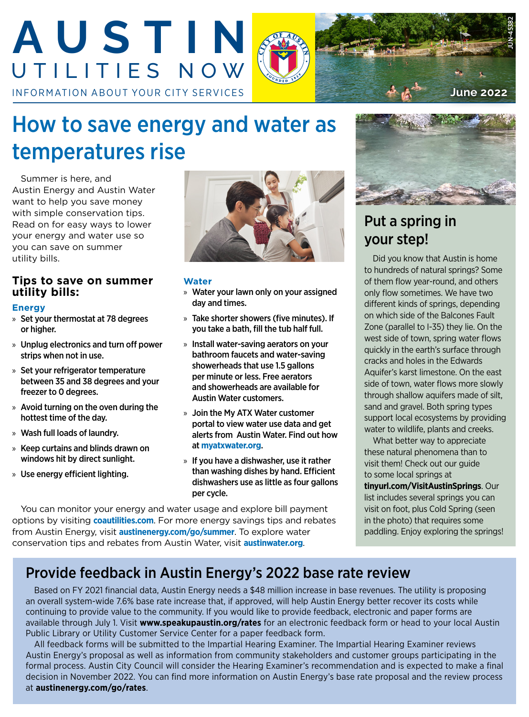

# How to save energy and water as temperatures rise

Summer is here, and Austin Energy and Austin Water want to help you save money with simple conservation tips. Read on for easy ways to lower your energy and water use so you can save on summer utility bills.

## **Tips to save on summer utility bills:**

#### **Energy**

- » Set your thermostat at 78 degrees or higher.
- » Unplug electronics and turn off power strips when not in use.
- » Set your refrigerator temperature between 35 and 38 degrees and your freezer to 0 degrees.
- » Avoid turning on the oven during the hottest time of the day.
- » Wash full loads of laundry.
- » Keep curtains and blinds drawn on windows hit by direct sunlight.
- » Use energy efficient lighting.



#### **Water**

- » Water your lawn only on your assigned day and times.
- » Take shorter showers (five minutes). If you take a bath, fill the tub half full.
- » Install water-saving aerators on your bathroom faucets and water-saving showerheads that use 1.5 gallons per minute or less. Free aerators and showerheads are available for Austin Water customers.
- » Join the My ATX Water customer portal to view water use data and get alerts from Austin Water. Find out how at **[myatxwater.org](http://myatxwater.org)**.
- » If you have a dishwasher, use it rather than washing dishes by hand. Efficient dishwashers use as little as four gallons per cycle.

You can monitor your energy and water usage and explore bill payment options by visiting **[coautilities.com](http://coautilities.com)**. For more energy savings tips and rebates from Austin Energy, visit **[austinenergy.com/go/summer](http://austinenergy.com/go/summer)**. To explore water conservation tips and rebates from Austin Water, visit **[austinwater.org](http://austinwater.org)**.



# Put a spring in your step!

Did you know that Austin is home to hundreds of natural springs? Some of them flow year-round, and others only flow sometimes. We have two different kinds of springs, depending on which side of the Balcones Fault Zone (parallel to I-35) they lie. On the west side of town, spring water flows quickly in the earth's surface through cracks and holes in the Edwards Aquifer's karst limestone. On the east side of town, water flows more slowly through shallow aquifers made of silt, sand and gravel. Both spring types support local ecosystems by providing water to wildlife, plants and creeks.

What better way to appreciate these natural phenomena than to visit them! Check out our guide to some local springs at

**[tinyurl.com/VisitAustinSprings](http://tinyurl.com/VisitAustinSprings)**. Our list includes several springs you can visit on foot, plus Cold Spring (seen in the photo) that requires some paddling. Enjoy exploring the springs!

# Provide feedback in Austin Energy's 2022 base rate review

Based on FY 2021 financial data, Austin Energy needs a \$48 million increase in base revenues. The utility is proposing an overall system-wide 7.6% base rate increase that, if approved, will help Austin Energy better recover its costs while continuing to provide value to the community. If you would like to provide feedback, electronic and paper forms are available through July 1. Visit **[www.speakupaustin.org/rates](http://www.speakupaustin.org/rates)** for an electronic feedback form or head to your local Austin Public Library or Utility Customer Service Center for a paper feedback form.

All feedback forms will be submitted to the Impartial Hearing Examiner. The Impartial Hearing Examiner reviews Austin Energy's proposal as well as information from community stakeholders and customer groups participating in the formal process. Austin City Council will consider the Hearing Examiner's recommendation and is expected to make a final decision in November 2022. You can find more information on Austin Energy's base rate proposal and the review process at **[austinenergy.com/go/rates](http://austinenergy.com/go/rates)**.